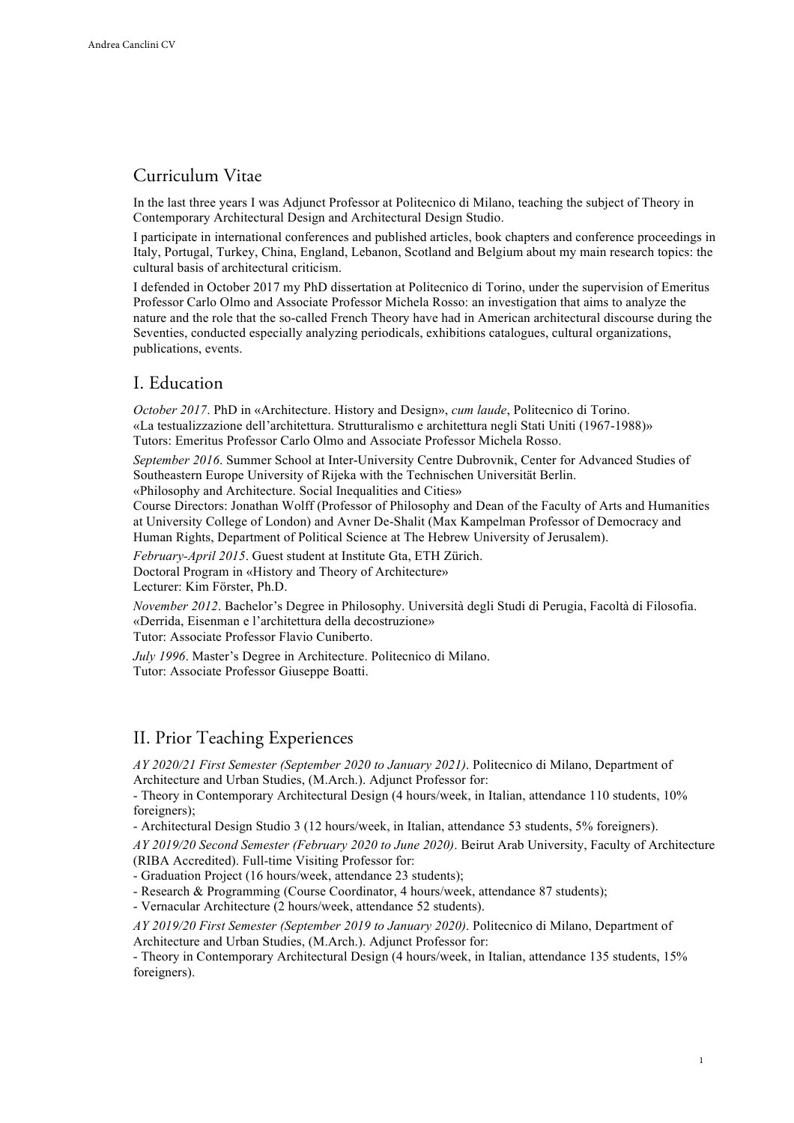# Curriculum Vitae

In the last three years I was Adjunct Professor at Politecnico di Milano, teaching the subject of Theory in Contemporary Architectural Design and Architectural Design Studio.

I participate in international conferences and published articles, book chapters and conference proceedings in Italy, Portugal, Turkey, China, England, Lebanon, Scotland and Belgium about my main research topics: the cultural basis of architectural criticism.

I defended in October 2017 my PhD dissertation at Politecnico di Torino, under the supervision of Emeritus Professor Carlo Olmo and Associate Professor Michela Rosso: an investigation that aims to analyze the nature and the role that the so-called French Theory have had in American architectural discourse during the Seventies, conducted especially analyzing periodicals, exhibitions catalogues, cultural organizations, publications, events.

# I. Education

*October 2017*. PhD in «Architecture. History and Design», *cum laude*, Politecnico di Torino. «La testualizzazione dell'architettura. Strutturalismo e architettura negli Stati Uniti (1967-1988)» Tutors: Emeritus Professor Carlo Olmo and Associate Professor Michela Rosso.

*September 2016*. Summer School at Inter-University Centre Dubrovnik, Center for Advanced Studies of Southeastern Europe University of Rijeka with the Technischen Universität Berlin. «Philosophy and Architecture. Social Inequalities and Cities»

Course Directors: Jonathan Wolff (Professor of Philosophy and Dean of the Faculty of Arts and Humanities at University College of London) and Avner De-Shalit (Max Kampelman Professor of Democracy and Human Rights, Department of Political Science at The Hebrew University of Jerusalem).

*February-April 2015*. Guest student at Institute Gta, ETH Zürich. Doctoral Program in «History and Theory of Architecture» Lecturer: Kim Förster, Ph.D.

*November 2012*. Bachelor's Degree in Philosophy. Università degli Studi di Perugia, Facoltà di Filosofia. «Derrida, Eisenman e l'architettura della decostruzione»

Tutor: Associate Professor Flavio Cuniberto.

*July 1996*. Master's Degree in Architecture. Politecnico di Milano. Tutor: Associate Professor Giuseppe Boatti.

# II. Prior Teaching Experiences

*AY 2020/21 First Semester (September 2020 to January 2021)*. Politecnico di Milano, Department of Architecture and Urban Studies, (M.Arch.). Adjunct Professor for:

- Theory in Contemporary Architectural Design (4 hours/week, in Italian, attendance 110 students, 10% foreigners);

- Architectural Design Studio 3 (12 hours/week, in Italian, attendance 53 students, 5% foreigners).

*AY 2019/20 Second Semester (February 2020 to June 2020)*. Beirut Arab University, Faculty of Architecture (RIBA Accredited). Full-time Visiting Professor for:

- Graduation Project (16 hours/week, attendance 23 students);

- Research & Programming (Course Coordinator, 4 hours/week, attendance 87 students);

- Vernacular Architecture (2 hours/week, attendance 52 students).

*AY 2019/20 First Semester (September 2019 to January 2020)*. Politecnico di Milano, Department of Architecture and Urban Studies, (M.Arch.). Adjunct Professor for:

- Theory in Contemporary Architectural Design (4 hours/week, in Italian, attendance 135 students, 15% foreigners).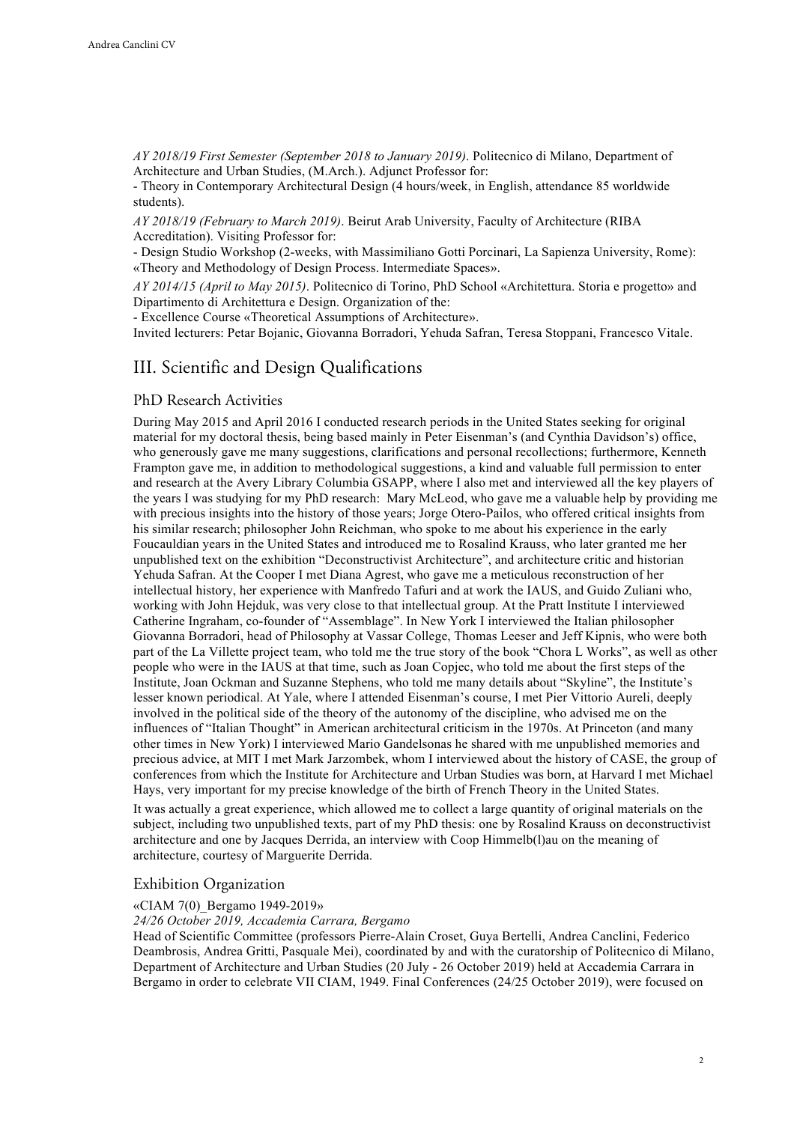*AY 2018/19 First Semester (September 2018 to January 2019)*. Politecnico di Milano, Department of Architecture and Urban Studies, (M.Arch.). Adjunct Professor for:

- Theory in Contemporary Architectural Design (4 hours/week, in English, attendance 85 worldwide students).

*AY 2018/19 (February to March 2019)*. Beirut Arab University, Faculty of Architecture (RIBA Accreditation). Visiting Professor for:

- Design Studio Workshop (2-weeks, with Massimiliano Gotti Porcinari, La Sapienza University, Rome): «Theory and Methodology of Design Process. Intermediate Spaces».

*AY 2014/15 (April to May 2015)*. Politecnico di Torino, PhD School «Architettura. Storia e progetto» and Dipartimento di Architettura e Design. Organization of the:

- Excellence Course «Theoretical Assumptions of Architecture».

Invited lecturers: Petar Bojanic, Giovanna Borradori, Yehuda Safran, Teresa Stoppani, Francesco Vitale.

### III. Scientific and Design Qualifications

### PhD Research Activities

During May 2015 and April 2016 I conducted research periods in the United States seeking for original material for my doctoral thesis, being based mainly in Peter Eisenman's (and Cynthia Davidson's) office, who generously gave me many suggestions, clarifications and personal recollections; furthermore, Kenneth Frampton gave me, in addition to methodological suggestions, a kind and valuable full permission to enter and research at the Avery Library Columbia GSAPP, where I also met and interviewed all the key players of the years I was studying for my PhD research: Mary McLeod, who gave me a valuable help by providing me with precious insights into the history of those years; Jorge Otero-Pailos, who offered critical insights from his similar research; philosopher John Reichman, who spoke to me about his experience in the early Foucauldian years in the United States and introduced me to Rosalind Krauss, who later granted me her unpublished text on the exhibition "Deconstructivist Architecture", and architecture critic and historian Yehuda Safran. At the Cooper I met Diana Agrest, who gave me a meticulous reconstruction of her intellectual history, her experience with Manfredo Tafuri and at work the IAUS, and Guido Zuliani who, working with John Hejduk, was very close to that intellectual group. At the Pratt Institute I interviewed Catherine Ingraham, co-founder of "Assemblage". In New York I interviewed the Italian philosopher Giovanna Borradori, head of Philosophy at Vassar College, Thomas Leeser and Jeff Kipnis, who were both part of the La Villette project team, who told me the true story of the book "Chora L Works", as well as other people who were in the IAUS at that time, such as Joan Copjec, who told me about the first steps of the Institute, Joan Ockman and Suzanne Stephens, who told me many details about "Skyline", the Institute's lesser known periodical. At Yale, where I attended Eisenman's course, I met Pier Vittorio Aureli, deeply involved in the political side of the theory of the autonomy of the discipline, who advised me on the influences of "Italian Thought" in American architectural criticism in the 1970s. At Princeton (and many other times in New York) I interviewed Mario Gandelsonas he shared with me unpublished memories and precious advice, at MIT I met Mark Jarzombek, whom I interviewed about the history of CASE, the group of conferences from which the Institute for Architecture and Urban Studies was born, at Harvard I met Michael Hays, very important for my precise knowledge of the birth of French Theory in the United States.

It was actually a great experience, which allowed me to collect a large quantity of original materials on the subject, including two unpublished texts, part of my PhD thesis: one by Rosalind Krauss on deconstructivist architecture and one by Jacques Derrida, an interview with Coop Himmelb(l)au on the meaning of architecture, courtesy of Marguerite Derrida.

### Exhibition Organization

#### «CIAM 7(0)\_Bergamo 1949-2019»

*24/26 October 2019, Accademia Carrara, Bergamo*

Head of Scientific Committee (professors Pierre-Alain Croset, Guya Bertelli, Andrea Canclini, Federico Deambrosis, Andrea Gritti, Pasquale Mei), coordinated by and with the curatorship of Politecnico di Milano, Department of Architecture and Urban Studies (20 July - 26 October 2019) held at Accademia Carrara in Bergamo in order to celebrate VII CIAM, 1949. Final Conferences (24/25 October 2019), were focused on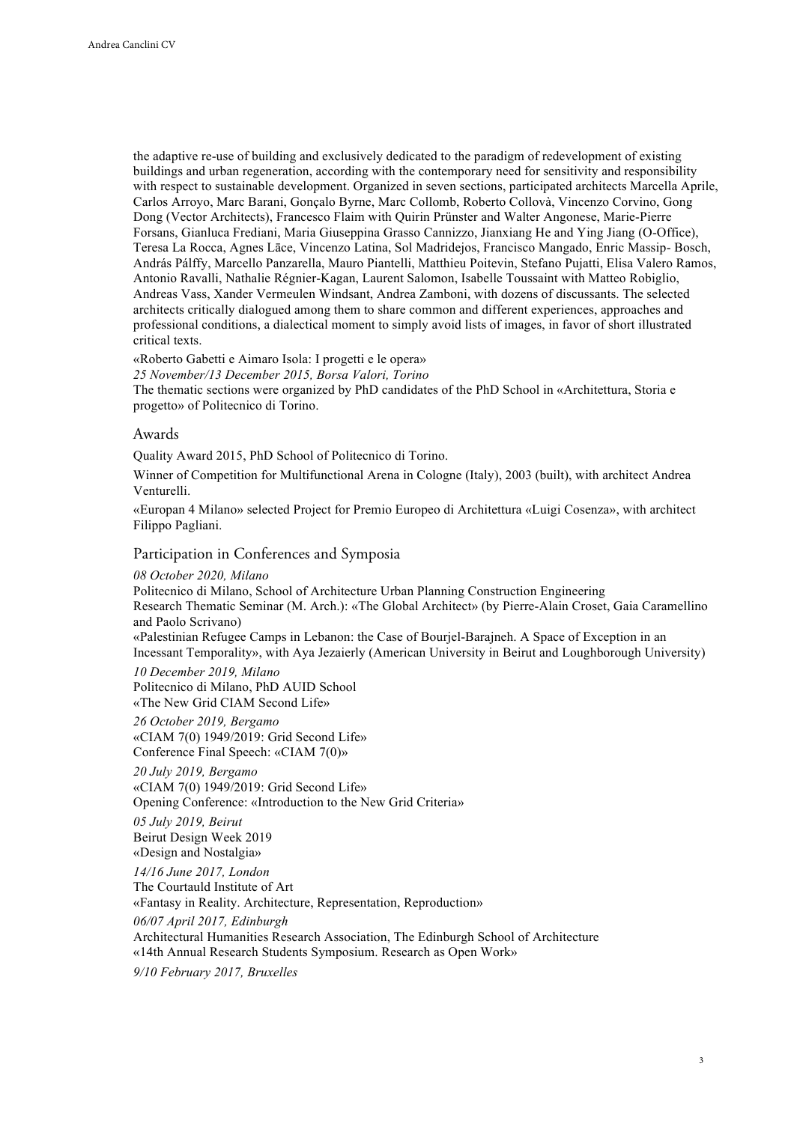the adaptive re-use of building and exclusively dedicated to the paradigm of redevelopment of existing buildings and urban regeneration, according with the contemporary need for sensitivity and responsibility with respect to sustainable development. Organized in seven sections, participated architects Marcella Aprile, Carlos Arroyo, Marc Barani, Gonçalo Byrne, Marc Collomb, Roberto Collovà, Vincenzo Corvino, Gong Dong (Vector Architects), Francesco Flaim with Quirin Prünster and Walter Angonese, Marie-Pierre Forsans, Gianluca Frediani, Maria Giuseppina Grasso Cannizzo, Jianxiang He and Ying Jiang (O-Office), Teresa La Rocca, Agnes Lāce, Vincenzo Latina, Sol Madridejos, Francisco Mangado, Enric Massip- Bosch, András Pálffy, Marcello Panzarella, Mauro Piantelli, Matthieu Poitevin, Stefano Pujatti, Elisa Valero Ramos, Antonio Ravalli, Nathalie Régnier-Kagan, Laurent Salomon, Isabelle Toussaint with Matteo Robiglio, Andreas Vass, Xander Vermeulen Windsant, Andrea Zamboni, with dozens of discussants. The selected architects critically dialogued among them to share common and different experiences, approaches and professional conditions, a dialectical moment to simply avoid lists of images, in favor of short illustrated critical texts.

«Roberto Gabetti e Aimaro Isola: I progetti e le opera» *25 November/13 December 2015, Borsa Valori, Torino* The thematic sections were organized by PhD candidates of the PhD School in «Architettura, Storia e progetto» of Politecnico di Torino.

#### Awards

Quality Award 2015, PhD School of Politecnico di Torino.

Winner of Competition for Multifunctional Arena in Cologne (Italy), 2003 (built), with architect Andrea Venturelli.

«Europan 4 Milano» selected Project for Premio Europeo di Architettura «Luigi Cosenza», with architect Filippo Pagliani.

### Participation in Conferences and Symposia

*08 October 2020, Milano* Politecnico di Milano, School of Architecture Urban Planning Construction Engineering Research Thematic Seminar (M. Arch.): «The Global Architect» (by Pierre-Alain Croset, Gaia Caramellino and Paolo Scrivano)

«Palestinian Refugee Camps in Lebanon: the Case of Bourjel-Barajneh. A Space of Exception in an Incessant Temporality», with Aya Jezaierly (American University in Beirut and Loughborough University)

*10 December 2019, Milano* Politecnico di Milano, PhD AUID School «The New Grid CIAM Second Life»

*26 October 2019, Bergamo* «CIAM 7(0) 1949/2019: Grid Second Life» Conference Final Speech: «CIAM 7(0)»

*20 July 2019, Bergamo* «CIAM 7(0) 1949/2019: Grid Second Life» Opening Conference: «Introduction to the New Grid Criteria»

*05 July 2019, Beirut* Beirut Design Week 2019 «Design and Nostalgia»

*14/16 June 2017, London* The Courtauld Institute of Art «Fantasy in Reality. Architecture, Representation, Reproduction» *06/07 April 2017, Edinburgh* Architectural Humanities Research Association, The Edinburgh School of Architecture «14th Annual Research Students Symposium. Research as Open Work» *9/10 February 2017, Bruxelles*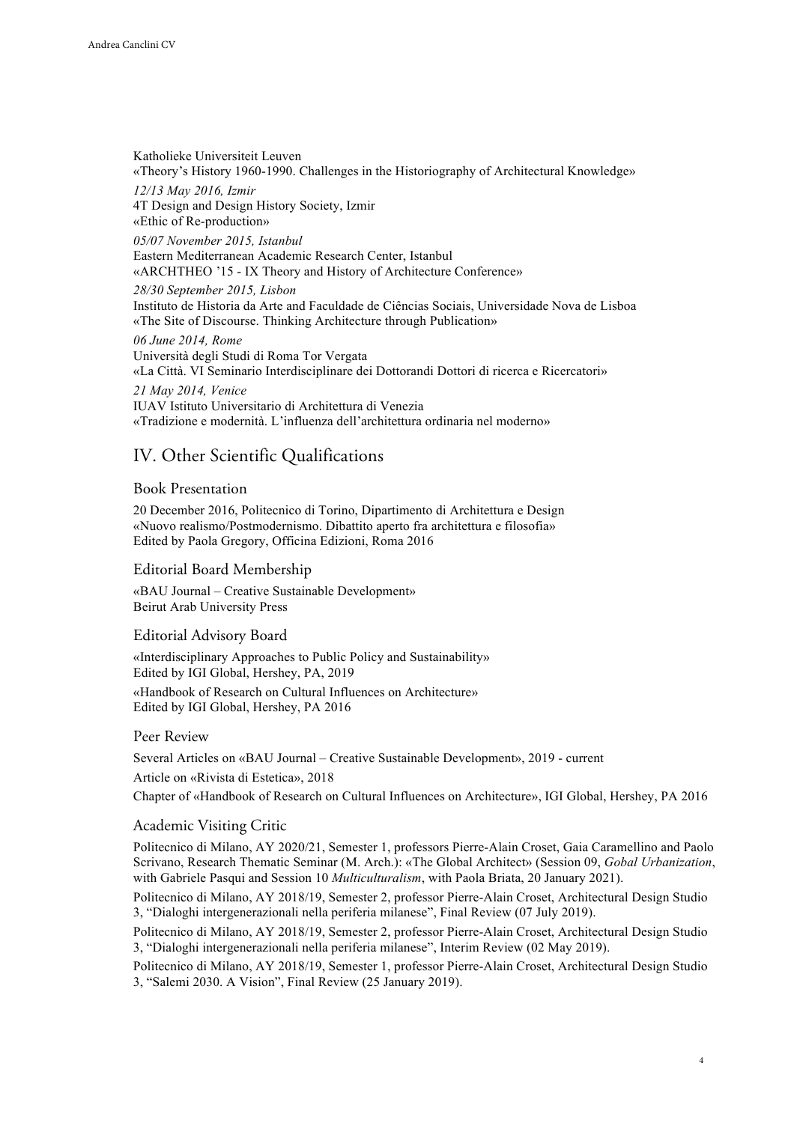Katholieke Universiteit Leuven «Theory's History 1960-1990. Challenges in the Historiography of Architectural Knowledge» *12/13 May 2016, Izmir* 4T Design and Design History Society, Izmir «Ethic of Re-production» *05/07 November 2015, Istanbul* Eastern Mediterranean Academic Research Center, Istanbul «ARCHTHEO '15 - IX Theory and History of Architecture Conference» *28/30 September 2015, Lisbon* Instituto de Historia da Arte and Faculdade de Ciências Sociais, Universidade Nova de Lisboa «The Site of Discourse. Thinking Architecture through Publication» *06 June 2014, Rome* Università degli Studi di Roma Tor Vergata «La Città. VI Seminario Interdisciplinare dei Dottorandi Dottori di ricerca e Ricercatori» *21 May 2014, Venice* IUAV Istituto Universitario di Architettura di Venezia «Tradizione e modernità. L'influenza dell'architettura ordinaria nel moderno»

# IV. Other Scientific Qualifications

### Book Presentation

20 December 2016, Politecnico di Torino, Dipartimento di Architettura e Design «Nuovo realismo/Postmodernismo. Dibattito aperto fra architettura e filosofia» Edited by Paola Gregory, Officina Edizioni, Roma 2016

### Editorial Board Membership

«BAU Journal – Creative Sustainable Development» Beirut Arab University Press

### Editorial Advisory Board

«Interdisciplinary Approaches to Public Policy and Sustainability» Edited by IGI Global, Hershey, PA, 2019

«Handbook of Research on Cultural Influences on Architecture» Edited by IGI Global, Hershey, PA 2016

### Peer Review

Several Articles on «BAU Journal – Creative Sustainable Development», 2019 - current

Article on «Rivista di Estetica», 2018

Chapter of «Handbook of Research on Cultural Influences on Architecture», IGI Global, Hershey, PA 2016

### Academic Visiting Critic

Politecnico di Milano, AY 2020/21, Semester 1, professors Pierre-Alain Croset, Gaia Caramellino and Paolo Scrivano, Research Thematic Seminar (M. Arch.): «The Global Architect» (Session 09, *Gobal Urbanization*, with Gabriele Pasqui and Session 10 *Multiculturalism*, with Paola Briata, 20 January 2021).

Politecnico di Milano, AY 2018/19, Semester 2, professor Pierre-Alain Croset, Architectural Design Studio 3, "Dialoghi intergenerazionali nella periferia milanese", Final Review (07 July 2019).

Politecnico di Milano, AY 2018/19, Semester 2, professor Pierre-Alain Croset, Architectural Design Studio 3, "Dialoghi intergenerazionali nella periferia milanese", Interim Review (02 May 2019).

Politecnico di Milano, AY 2018/19, Semester 1, professor Pierre-Alain Croset, Architectural Design Studio 3, "Salemi 2030. A Vision", Final Review (25 January 2019).